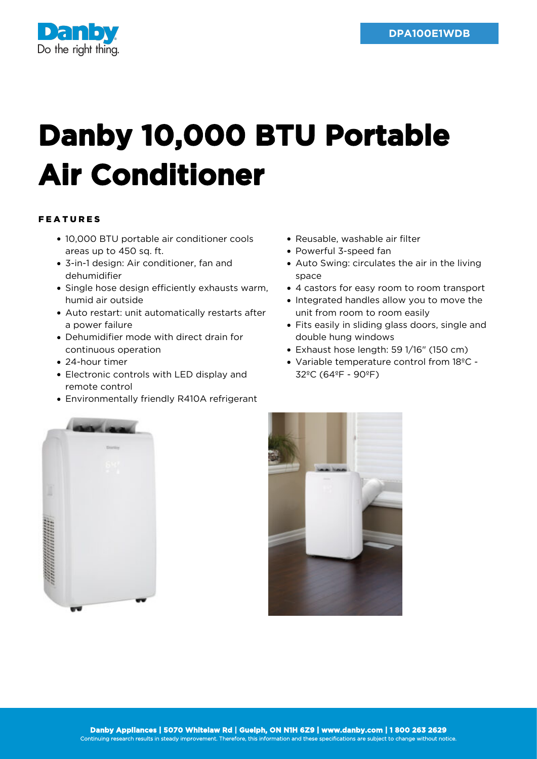

## **Danby 10,000 BTU Portable Air Conditioner**

## FEATURES

- 10,000 BTU portable air conditioner cools areas up to 450 sq. ft.
- 3-in-1 design: Air conditioner, fan and dehumidifier
- Single hose design efficiently exhausts warm, humid air outside
- Auto restart: unit automatically restarts after a power failure
- Dehumidifier mode with direct drain for continuous operation
- 24-hour timer
- Electronic controls with LED display and remote control
- Environmentally friendly R410A refrigerant
- Reusable, washable air filter
- Powerful 3-speed fan
- Auto Swing: circulates the air in the living space
- 4 castors for easy room to room transport
- Integrated handles allow you to move the unit from room to room easily
- Fits easily in sliding glass doors, single and double hung windows
- Exhaust hose length: 59 1/16" (150 cm)
- Variable temperature control from 18ºC 32ºC (64ºF - 90ºF)